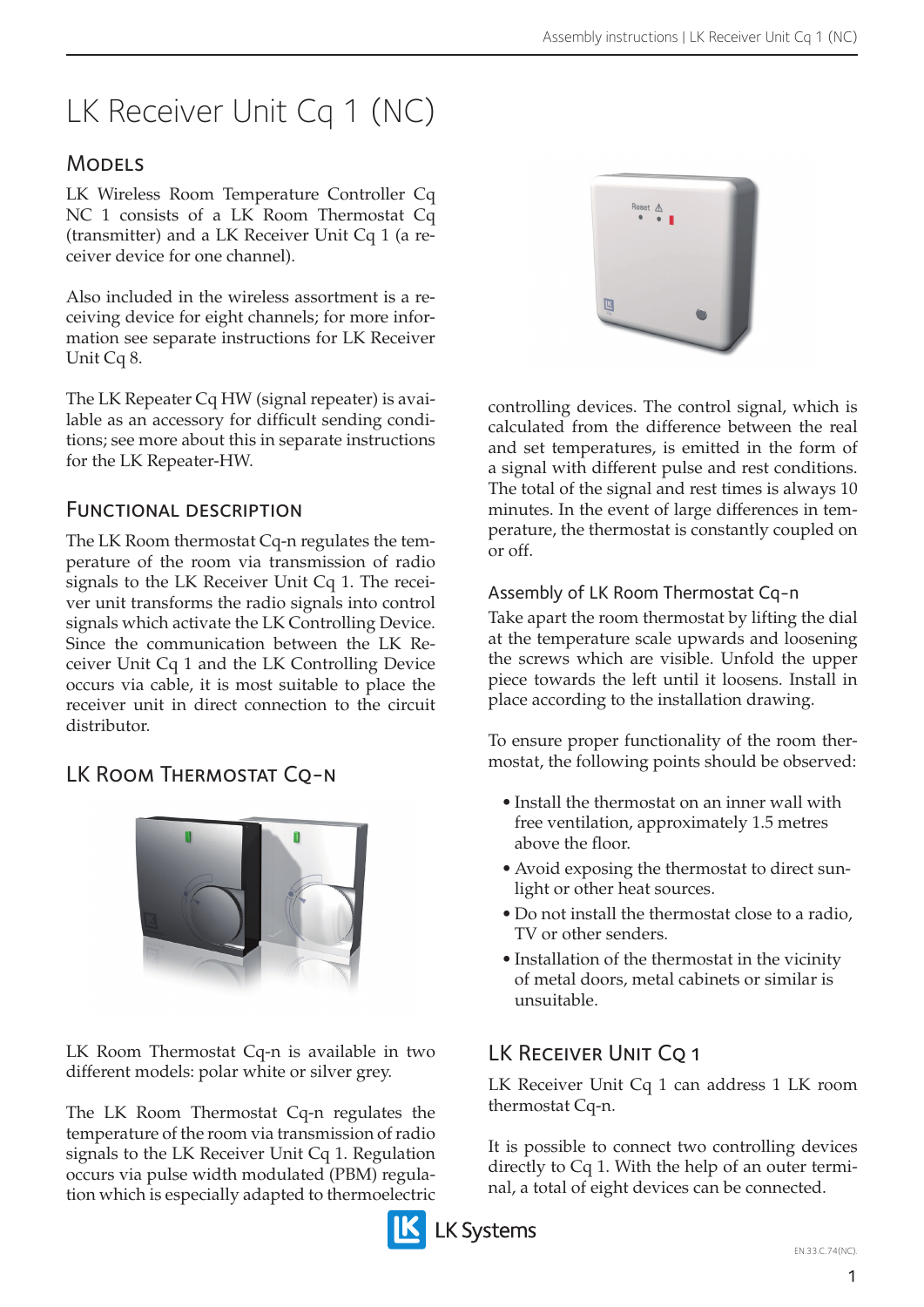# LK Receiver Unit Cq 1 (NC)

## **MODELS**

LK Wireless Room Temperature Controller Cq NC 1 consists of a LK Room Thermostat Cq (transmitter) and a LK Receiver Unit Cq 1 (a receiver device for one channel).

Also included in the wireless assortment is a receiving device for eight channels; for more information see separate instructions for LK Receiver Unit Cq 8.

The LK Repeater Cq HW (signal repeater) is available as an accessory for difficult sending conditions; see more about this in separate instructions for the LK Repeater-HW.

#### Functional description

The LK Room thermostat Cq-n regulates the temperature of the room via transmission of radio signals to the LK Receiver Unit Cq 1. The receiver unit transforms the radio signals into control signals which activate the LK Controlling Device. Since the communication between the LK Receiver Unit Cq 1 and the LK Controlling Device occurs via cable, it is most suitable to place the receiver unit in direct connection to the circuit distributor.

# LK ROOM THERMOSTAT CQ-N



LK Room Thermostat Cq-n is available in two different models: polar white or silver grey.

The LK Room Thermostat Cq-n regulates the temperature of the room via transmission of radio signals to the LK Receiver Unit Cq 1. Regulation occurs via pulse width modulated (PBM) regulation which is especially adapted to thermoelectric



controlling devices. The control signal, which is calculated from the difference between the real and set temperatures, is emitted in the form of a signal with different pulse and rest conditions. The total of the signal and rest times is always 10 minutes. In the event of large differences in temperature, the thermostat is constantly coupled on or off.

#### Assembly of LK Room Thermostat Cq-n

Take apart the room thermostat by lifting the dial at the temperature scale upwards and loosening the screws which are visible. Unfold the upper piece towards the left until it loosens. Install in place according to the installation drawing.

To ensure proper functionality of the room thermostat, the following points should be observed:

- Install the thermostat on an inner wall with free ventilation, approximately 1.5 metres above the floor.
- Avoid exposing the thermostat to direct sunlight or other heat sources.
- Do not install the thermostat close to a radio, TV or other senders.
- • Installation of the thermostat in the vicinity of metal doors, metal cabinets or similar is unsuitable.

# LK RECEIVER UNIT CO 1

LK Receiver Unit Cq 1 can address 1 LK room thermostat Cq-n.

It is possible to connect two controlling devices directly to Cq 1. With the help of an outer terminal, a total of eight devices can be connected.

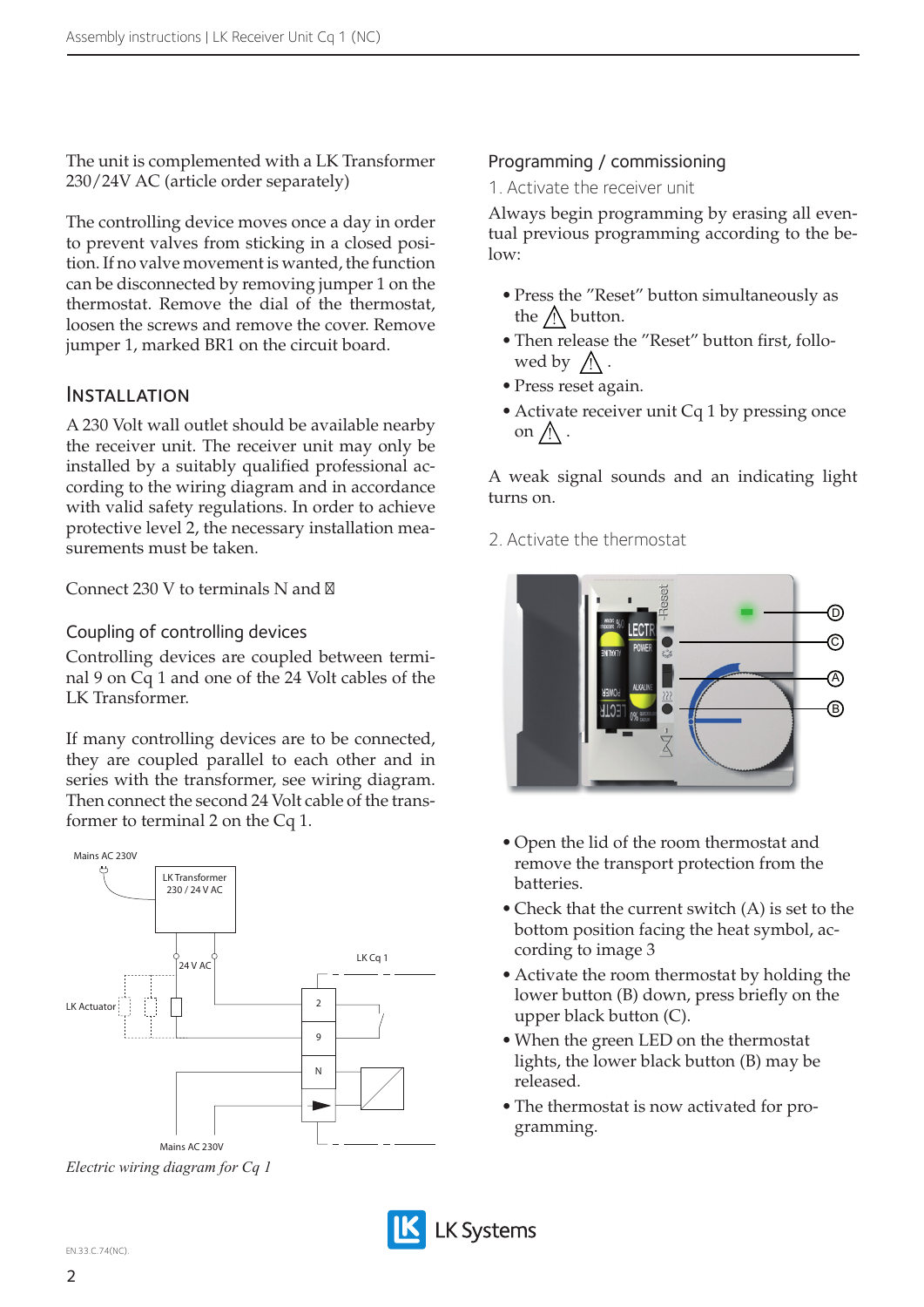The unit is complemented with a LK Transformer 230/24V AC (article order separately)

The controlling device moves once a day in order to prevent valves from sticking in a closed position. If no valve movement is wanted, the function can be disconnected by removing jumper 1 on the thermostat. Remove the dial of the thermostat, loosen the screws and remove the cover. Remove jumper 1, marked BR1 on the circuit board.

#### **INSTALLATION**

A 230 Volt wall outlet should be available nearby the receiver unit. The receiver unit may only be installed by a suitably qualified professional according to the wiring diagram and in accordance with valid safety regulations. In order to achieve protective level 2, the necessary installation measurements must be taken.

Connect  $230$  V to terminals N and

#### Coupling of controlling devices

Controlling devices are coupled between terminal 9 on Cq 1 and one of the 24 Volt cables of the LK Transformer.

If many controlling devices are to be connected, they are coupled parallel to each other and in series with the transformer, see wiring diagram. Then connect the second 24 Volt cable of the transformer to terminal 2 on the Cq 1.



*Electric wiring diagram for Cq 1*

#### Programming / commissioning

1. Activate the receiver unit

Always begin programming by erasing all eventual previous programming according to the be $low:$ 

- Press the "Reset" button simultaneously as the  $\Lambda$  button.
- Then release the "Reset" button first, followed by  $\bigwedge$ .
- • Press reset again.
- Activate receiver unit Cq 1 by pressing once on  $\bigwedge$ .

A weak signal sounds and an indicating light turns on.

2. Activate the thermostat



- • Open the lid of the room thermostat and remove the transport protection from the batteries.
- Check that the current switch (A) is set to the bottom position facing the heat symbol, according to image 3
- Activate the room thermostat by holding the lower button (B) down, press briefly on the upper black button (C).
- When the green LED on the thermostat lights, the lower black button (B) may be released.
- The thermostat is now activated for programming.

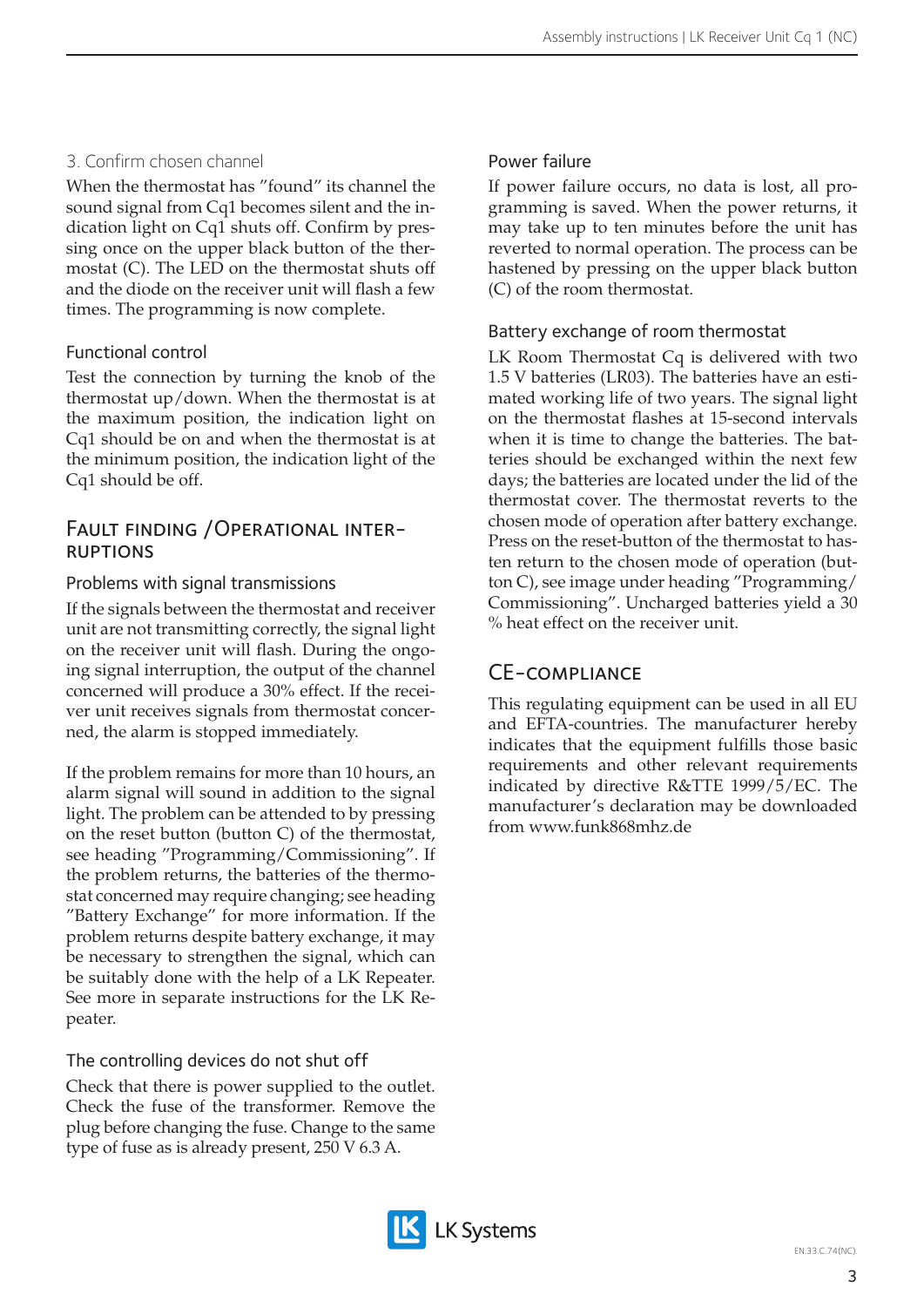## 3. Confirm chosen channel

When the thermostat has "found" its channel the sound signal from Cq1 becomes silent and the indication light on Cq1 shuts off. Confirm by pressing once on the upper black button of the thermostat (C). The LED on the thermostat shuts off and the diode on the receiver unit will flash a few times. The programming is now complete.

## Functional control

Test the connection by turning the knob of the thermostat up/down. When the thermostat is at the maximum position, the indication light on Cq1 should be on and when the thermostat is at the minimum position, the indication light of the Cq1 should be off.

# Fault finding /Operational inter- ruptions

#### Problems with signal transmissions

If the signals between the thermostat and receiver unit are not transmitting correctly, the signal light on the receiver unit will flash. During the ongoing signal interruption, the output of the channel concerned will produce a 30% effect. If the receiver unit receives signals from thermostat concerned, the alarm is stopped immediately.

If the problem remains for more than 10 hours, an alarm signal will sound in addition to the signal light. The problem can be attended to by pressing on the reset button (button C) of the thermostat, see heading "Programming/Commissioning". If the problem returns, the batteries of the thermostat concerned may require changing; see heading "Battery Exchange" for more information. If the problem returns despite battery exchange, it may be necessary to strengthen the signal, which can be suitably done with the help of a LK Repeater. See more in separate instructions for the LK Repeater.

## The controlling devices do not shut off

Check that there is power supplied to the outlet. Check the fuse of the transformer. Remove the plug before changing the fuse. Change to the same type of fuse as is already present, 250 V 6.3 A.

## Power failure

If power failure occurs, no data is lost, all programming is saved. When the power returns, it may take up to ten minutes before the unit has reverted to normal operation. The process can be hastened by pressing on the upper black button (C) of the room thermostat.

#### Battery exchange of room thermostat

LK Room Thermostat Cq is delivered with two 1.5 V batteries (LR03). The batteries have an estimated working life of two years. The signal light on the thermostat flashes at 15-second intervals when it is time to change the batteries. The batteries should be exchanged within the next few days; the batteries are located under the lid of the thermostat cover. The thermostat reverts to the chosen mode of operation after battery exchange. Press on the reset-button of the thermostat to hasten return to the chosen mode of operation (button C), see image under heading "Programming/ Commissioning". Uncharged batteries yield a 30 % heat effect on the receiver unit.

## CE-compliance

This regulating equipment can be used in all EU and EFTA-countries. The manufacturer hereby indicates that the equipment fulfills those basic requirements and other relevant requirements indicated by directive R&TTE 1999/5/EC. The manufacturer's declaration may be downloaded from www.funk868mhz.de